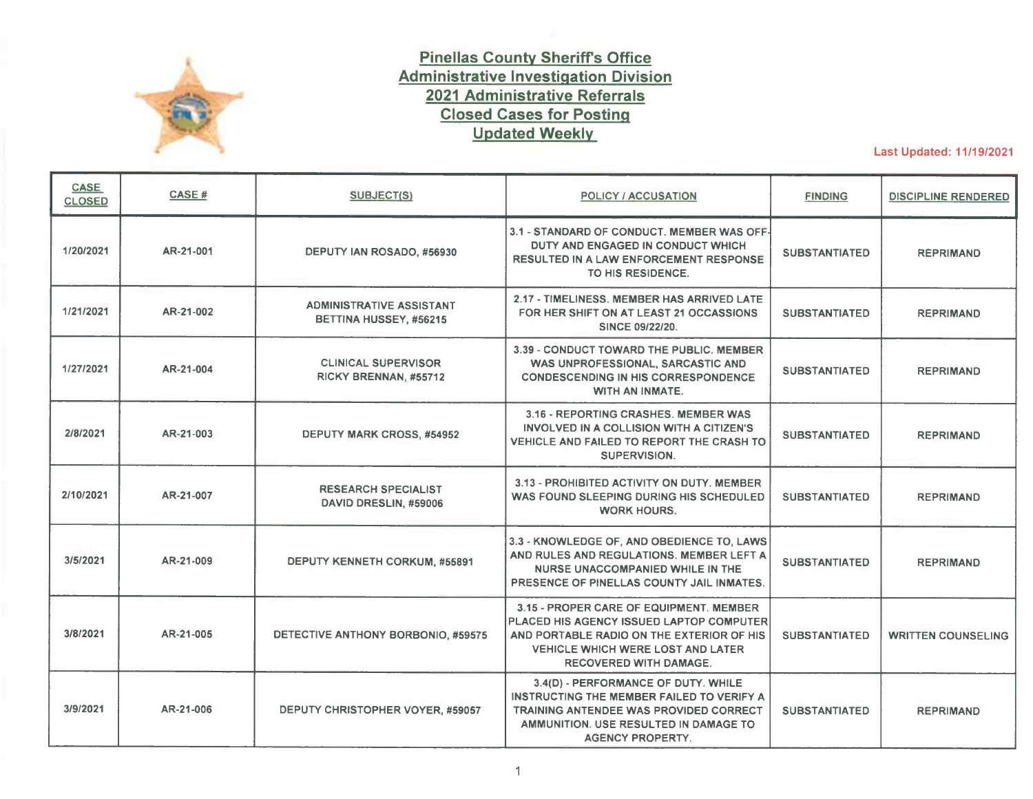

## **Pinellas County Sheriffs Office Administrative Investigation Division 2021 Administrative Referrals Closed Cases for Posting Updated Weekly**

Last Updated: 11/19/2021

| <b>CASE</b><br><b>CLOSED</b> | CASE#     | <b>SUBJECT(S)</b>                                         | <b>POLICY / ACCUSATION</b>                                                                                                                                                                                    | <b>FINDING</b>       | <b>DISCIPLINE RENDERED</b> |
|------------------------------|-----------|-----------------------------------------------------------|---------------------------------------------------------------------------------------------------------------------------------------------------------------------------------------------------------------|----------------------|----------------------------|
| 1/20/2021                    | AR-21-001 | DEPUTY IAN ROSADO, #56930                                 | 3.1 - STANDARD OF CONDUCT. MEMBER WAS OFF-<br>DUTY AND ENGAGED IN CONDUCT WHICH<br><b>RESULTED IN A LAW ENFORCEMENT RESPONSE</b><br>TO HIS RESIDENCE.                                                         | <b>SUBSTANTIATED</b> | <b>REPRIMAND</b>           |
| 1/21/2021                    | AR-21-002 | <b>ADMINISTRATIVE ASSISTANT</b><br>BETTINA HUSSEY, #56215 | 2.17 - TIMELINESS. MEMBER HAS ARRIVED LATE<br>FOR HER SHIFT ON AT LEAST 21 OCCASSIONS<br><b>SINCE 09/22/20.</b>                                                                                               | <b>SUBSTANTIATED</b> | <b>REPRIMAND</b>           |
| 1/27/2021                    | AR-21-004 | <b>CLINICAL SUPERVISOR</b><br>RICKY BRENNAN, #55712       | 3.39 - CONDUCT TOWARD THE PUBLIC, MEMBER<br>WAS UNPROFESSIONAL, SARCASTIC AND<br><b>CONDESCENDING IN HIS CORRESPONDENCE</b><br>WITH AN INMATE.                                                                | <b>SUBSTANTIATED</b> | <b>REPRIMAND</b>           |
| 2/8/2021                     | AR-21-003 | DEPUTY MARK CROSS, #54952                                 | 3.16 - REPORTING CRASHES. MEMBER WAS<br>INVOLVED IN A COLLISION WITH A CITIZEN'S<br>VEHICLE AND FAILED TO REPORT THE CRASH TO<br>SUPERVISION.                                                                 | <b>SUBSTANTIATED</b> | <b>REPRIMAND</b>           |
| 2/10/2021                    | AR-21-007 | <b>RESEARCH SPECIALIST</b><br>DAVID DRESLIN, #59006       | 3.13 - PROHIBITED ACTIVITY ON DUTY, MEMBER<br>WAS FOUND SLEEPING DURING HIS SCHEDULED<br><b>WORK HOURS.</b>                                                                                                   | <b>SUBSTANTIATED</b> | <b>REPRIMAND</b>           |
| 3/5/2021                     | AR-21-009 | <b>DEPUTY KENNETH CORKUM, #55891</b>                      | 3.3 - KNOWLEDGE OF, AND OBEDIENCE TO, LAWS<br>AND RULES AND REGULATIONS. MEMBER LEFT A<br>NURSE UNACCOMPANIED WHILE IN THE<br>PRESENCE OF PINELLAS COUNTY JAIL INMATES.                                       | <b>SUBSTANTIATED</b> | <b>REPRIMAND</b>           |
| 3/8/2021                     | AR-21-005 | DETECTIVE ANTHONY BORBONIO, #59575                        | 3.15 - PROPER CARE OF EQUIPMENT, MEMBER<br>PLACED HIS AGENCY ISSUED LAPTOP COMPUTER<br>AND PORTABLE RADIO ON THE EXTERIOR OF HIS<br><b>VEHICLE WHICH WERE LOST AND LATER</b><br><b>RECOVERED WITH DAMAGE.</b> | <b>SUBSTANTIATED</b> | <b>WRITTEN COUNSELING</b>  |
| 3/9/2021                     | AR-21-006 | DEPUTY CHRISTOPHER VOYER, #59057                          | 3.4(D) - PERFORMANCE OF DUTY. WHILE<br>INSTRUCTING THE MEMBER FAILED TO VERIFY A<br><b>TRAINING ANTENDEE WAS PROVIDED CORRECT</b><br>AMMUNITION, USE RESULTED IN DAMAGE TO<br><b>AGENCY PROPERTY.</b>         | <b>SUBSTANTIATED</b> | <b>REPRIMAND</b>           |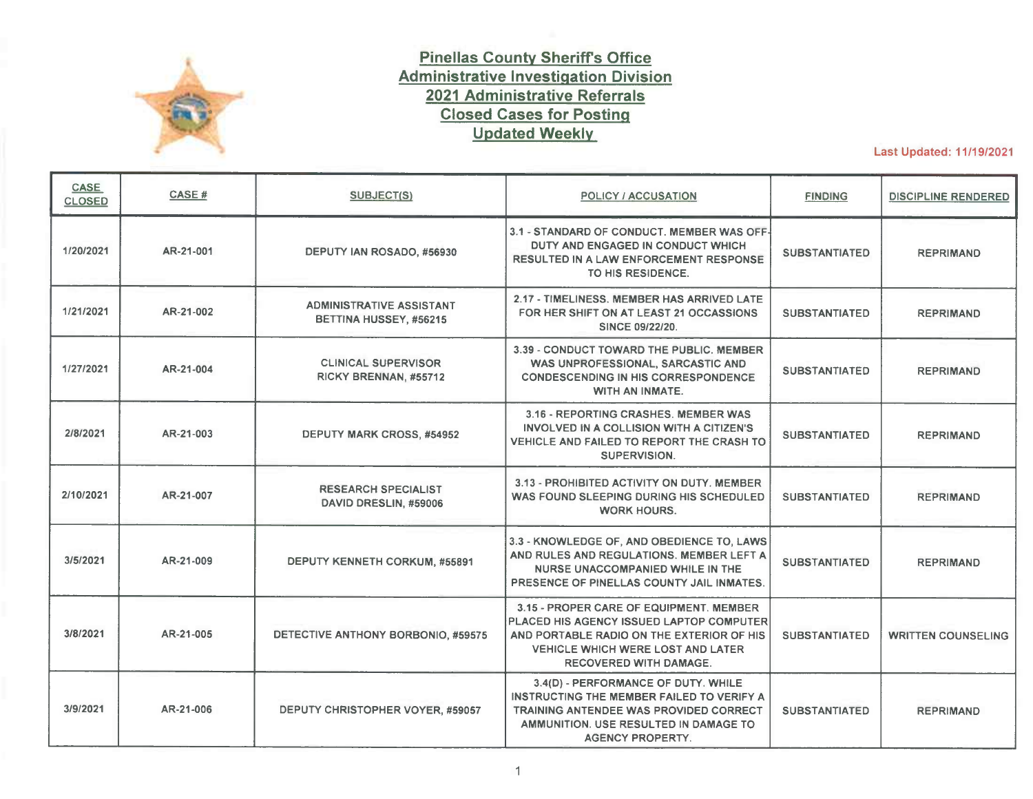| CASE<br><b>CLOSED</b> | CASE#     | SUBJECT(S)                                                                   | <b>POLICY / ACCUSATION</b>                                                                                                                                | <b>FINDING</b>                 | <b>DISCIPLINE RENDERED</b> |
|-----------------------|-----------|------------------------------------------------------------------------------|-----------------------------------------------------------------------------------------------------------------------------------------------------------|--------------------------------|----------------------------|
| 3/9/2021              | AR-21-008 | <b>CHILD PROTECTION INVESTIGATOR</b><br>NICOLE STANLEY, #60105               | 3.4(D) - PERFORMANCE OF DUTY. MEMBER<br><b>FAILED TO COMPLETE CASE RELATED</b><br><b>DOCUMENTATION WITHIN TIMEFRAMES</b><br><b>ESTABLISHED BY POLICY.</b> | <b>SUBSTANTIATED</b>           | <b>REPRIMAND</b>           |
| 3/12/2021             | AR-21-010 | <b>FAMILY SUPPORT SERVICES WORKER DEANNA</b><br><b>HOBSON, #60178</b>        | 3.3 - KNOWLEDGE OF, AND OBEDIENCE TO, LAWS<br>AND RULES AND REGULATIONS. MEMBER<br><b>CONDUCTED AN UNAUTHORIZED COMPUTER</b><br>INQUIRY.                  | <b>SUBSTANTIATED</b>           | <b>WRITTEN COUNSELING</b>  |
| 3/15/2021             | AR-21-016 | <b>CORPORAL GILBERTO PEREZ, #57156</b>                                       | 3.3 - KNOWLEDGE OF, AND OBEDIENCE TO, LAWS<br>AND RULES AND REGULATIONS. MEMBER<br>ACCIDENTALLY DISCHARGED HIS ELECTRONIC<br><b>CONTROL WEAPON.</b>       | <b>SUBSTANTIATED</b>           | <b>WRITTEN COUNSELING</b>  |
| 3/22/2021             | AR-21-015 | DEPUTY JOSEPH ROBINSON, #58520                                               | 2.17 - TIMELINESS, MEMBER HAS ARRIVED LATE<br>FOR HIS SHIFT ON SIX OCCASIONS SINCE 10/15/20                                                               | $\sim$<br><b>SUBSTANTIATED</b> | <b>REPRIMAND</b>           |
| 3/25/2021             | AR-21-014 | DEPUTY JAMES WILHELM, #56466                                                 | 3.3 - KNOWLEDGE OF, AND OBEDIENCE TO, LAWS<br>AND RULES AND REGULATIONS. MEMBER<br>ACCIDENTALLY DISCHARGED HIS ELECTRONIC<br><b>CONTROL WEAPON.</b>       | <b>SUBSTANTIATED</b>           | <b>WRITTEN COUNSELING</b>  |
| 3/26/2021             | AR-21-013 | <b>LICENSED PRACTICAL NURSE</b><br>JANIS MCKIEL, #59672                      | 3.4(D) - PERFORMANCE OF DUTY. MEMBER<br><b>FAILED TO RESPOND TO AN INMATE MEDICAL</b><br><b>COMPLAINT REPORTED BY A DETENTION</b><br>DEPUTY.              | <b>SUBSTANTIATED</b>           | <b>REPRIMAND</b>           |
| 3/29/2021             | AR-21-017 | <b>CORPORAL SHAWN BRINSON, #58505</b><br><b>DEPUTY EUGENE SNITKO, #58643</b> | 3.31(D) - FAILING TO SUBMIT PROPERLY WRITTEN<br><b>REPORTS. MEMBERS FAILED TO DOCUMENT</b><br>THEIR INVOLVEMENT IN AN INCIDENT WITH AN<br><b>INMATE.</b>  | <b>SUBSTANTIATED</b>           | <b>REPRIMAND</b>           |
| 3/31/2021             | AR-21-018 | DETECTIVE DENNIS CURTIN, #58373                                              | 3.15 - PROPER CARE OF EQUIPMENT. MEMBER<br>LOST HIS AGENCY ISSUED ELECTRONIC<br><b>CONTROL WEAPON.</b>                                                    | <b>SUBSTANTIATED</b>           | <b>WRITTEN COUNSELING</b>  |
| 4/1/2021              | AR-21-012 | <b>LICENSED PRACTICAL NURSE</b><br>REGINALD JOSEPH, #58131                   | 3.4(D) - PERFORMANCE OF DUTY. MEMBER<br><b>FAILED TO FOLLOW ESTABLISHED PROCEDURES</b><br>WHILE ADDRESSING A PATIENT'S MEDICAL<br><b>COMPLAINT.</b>       | <b>SUBSTANTIATED</b>           | <b>WRITTEN COUNSELING</b>  |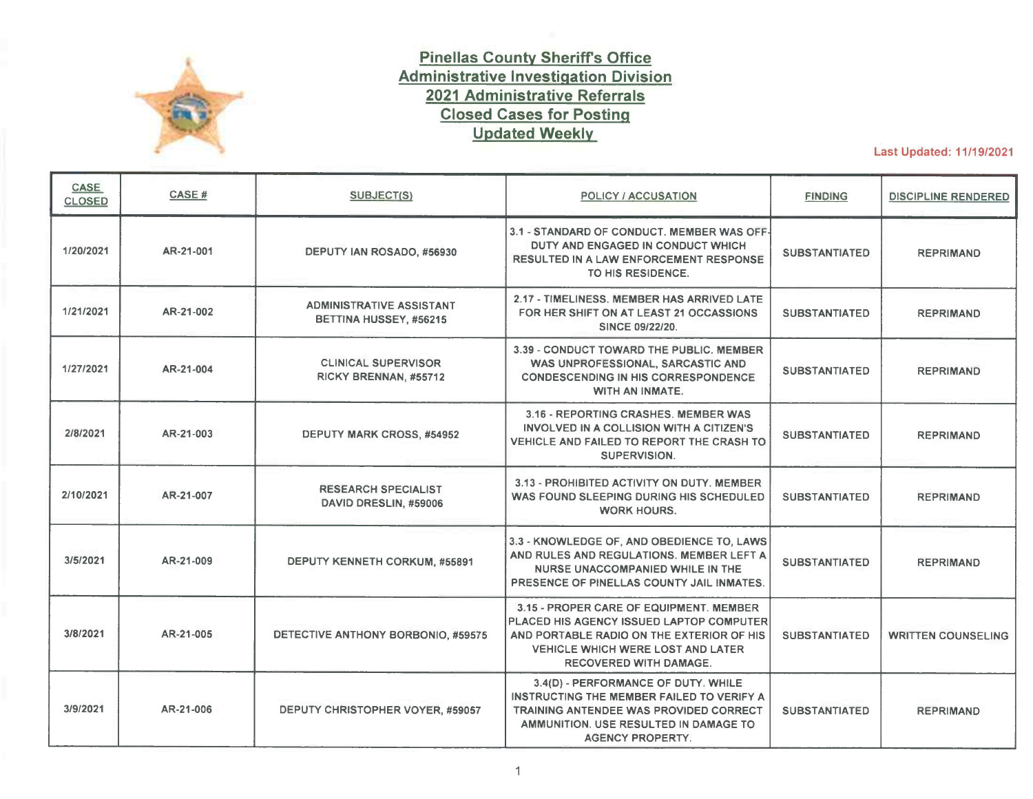| <b>CASE</b><br><b>CLOSED</b> | CASE#     | SUBJECT(S)                                                                    | POLICY / ACCUSATION                                                                                                                                                                        | <b>FINDING</b>       | <b>DISCIPLINE RENDERED</b> |
|------------------------------|-----------|-------------------------------------------------------------------------------|--------------------------------------------------------------------------------------------------------------------------------------------------------------------------------------------|----------------------|----------------------------|
| 4/29/2021                    | AR-21-023 | <b>CORPORAL THOMAS CASSIDY, #58636</b><br>DEPUTY HUNTER STOUT, #60156         | 3.4(D) - PERFORMANCE OF DUTY. MEMBERS DID<br>NOT AUTHOR A WRITTEN REPORT OR NOTIFY<br>CHAIN OF COMMAND OF INMATE FIGHT.                                                                    | <b>SUBSTANTIATED</b> | <b>REPRIMAND</b>           |
| 5/3/2021                     | AR-21-019 | <b>LICENSED PRACTICAL NURSE</b><br>ALANNA SPINACI, #60378                     | 3.39 - CONDUCT TOWARD THE PUBLIC. MEMBER<br>ENGAGED IN A VERBAL ARGUMENT WITH AN<br>INMATE AND CALLED THE INMATE A PROFANE<br>NAME.                                                        | <b>SUBSTANTIATED</b> | <b>WRITTEN COUNSELING</b>  |
| 5/3/2021                     | AR-21-022 | DEPUTY HERBERT PORRATA, #60304                                                | 3.3 - KNOWLEDGE OF, AND OBEDIENCE TO, LAWS<br>AND RULES AND REGULATIONS. MEMBER<br>ACCIDENTALLY DISCHARGED HIS ELECTRONIC<br><b>CONTROL WEAPON.</b>                                        | <b>SUBSTANTIATED</b> | <b>WRITTEN COUNSELING</b>  |
| 5/13/2021                    | AR-21-011 | <b>LICENSED PRACTICAL NURSE</b><br>JANE DESANTO, #56255                       | 3.4(D) - PERFORMANCE OF DUTY. MEMBER<br>ALLOWED AN INMATE COMPLAINANING OF A<br><b>MEDICAL CONCERN TO REMAIN IN THEIR</b><br><b>CURRENT HOUSING.</b>                                       | <b>SUBSTANTIATED</b> | <b>WRITTEN COUNSELING</b>  |
| 5/14/2021                    | AR-21-020 | SERGEANT JAMES ARNTZ, #55450                                                  | 3.31(F) - FAILURE TO PROPERLY SUPERVISE.<br>MEMBER FAILED TO PROPERLY SUPERVISE A<br>SUBORDINATE MEMBER WHO ENGAGED IN THE<br>PURSUIT OF A VEHICLE.                                        | <b>SUBSTANTIATED</b> | <b>REPRIMAND</b>           |
| 5/17/2021                    | AR-21-025 | <b>DEPUTY CARLOS PURCHADES, #60154</b>                                        | 3.15 - PROPER CARE OF EQUIPMENT. MEMBER<br><b>FAILED TO SECURE HIS PERSONALLY OWNED</b><br>VEHICLE, RESULTING IN THE THEFT OF HIS<br><b>AGENCY CREDENTIALS.</b>                            | <b>SUBSTANTIATED</b> | <b>WRITTEN COUNSELING</b>  |
| 5/25/2021                    | AR-21-021 | <b>DEPUTY JONATHAN MCMANIS, #56128</b>                                        | 3.1 - STANDARD OF CONDUCT. MEMBER MADE<br><b>INAPPROPRIATE COMMENTS WHILE ATTENDING</b><br><b>TRAINING.</b>                                                                                | <b>SUBSTANTIATED</b> | <b>REPRIMAND</b>           |
| 6/1/2021                     | AR-21-028 | <b>SERGEANT JAMES BRUECHNER, #54400</b>                                       | 3.31(F) - FAILURE TO PROPERLY SUPERVISE.<br>MEMBER FAILED TO PROPERLY SUPERVISE A<br>SUBORDINATE MEMBER, WHICH RESULTED IN A<br><b>CRIMINAL INVESTIGATION BEING HANDLED</b><br>IMPROPERLY. | <b>SUBSTANTIATED</b> | <b>REPRIMAND</b>           |
| 6/2/2021                     | AR-21-029 | <b>JUVENILE ELECTRONIC MONITORING</b><br><b>SPECIALIST PAUL HICKS, #56223</b> | 3.4(D) - PERFORMANCE OF DUTY. MEMBER WAS<br>SARCASTIC AND DEFIANT TOWARD AN<br>ASSISTANT STATE ATTORNEY DURING TRIAL<br><b>PREPARATIONS.</b>                                               | <b>SUBSTANTIATED</b> | <b>WRITTEN COUNSELING</b>  |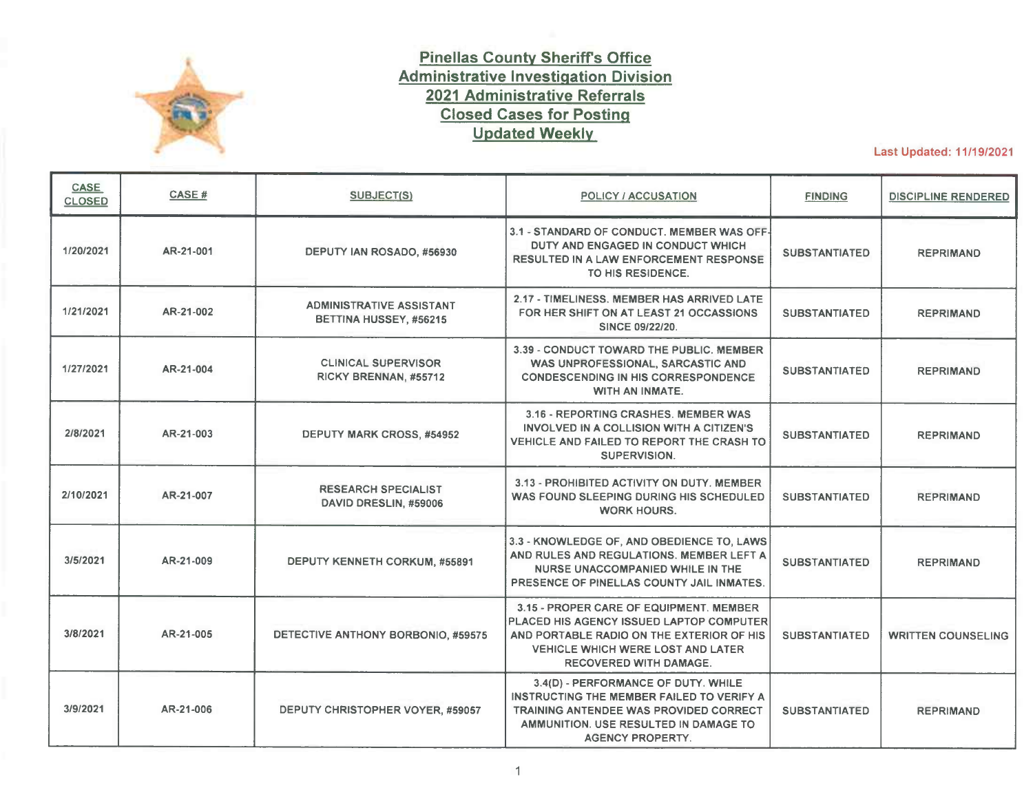| CASE<br><b>CLOSED</b> | CASE#     | <b>SUBJECT(S)</b>                                                          | <b>POLICY / ACCUSATION</b>                                                                                                                                      | <b>FINDING</b>       | <b>DISCIPLINE RENDERED</b> |
|-----------------------|-----------|----------------------------------------------------------------------------|-----------------------------------------------------------------------------------------------------------------------------------------------------------------|----------------------|----------------------------|
| 6/2/2021              | AR-21-030 | <b>CORPORAL KEVIN FEY, #58326</b>                                          | 3.3 - KNOWLEDGE OF, AND OBEDIENCE TO, LAWS<br>AND RULES AND REGULATIONS. MEMBER<br><b>ACCIDENTALLY DISCHARGED HIS ELECTRONIC</b><br><b>CONTROL WEAPON.</b>      | <b>SUBSTANTIATED</b> | <b>WRITTEN COUNSELING</b>  |
| 6/4/2021              | AR-21-024 | <b>DEPUTY NICHOLAS VEGA, #59647</b>                                        | 3.15 - PROPER CARE OF EQUIPMENT. MEMBER<br>LEFT HIS AGENCY ISSUED RIFLE UNSECURED IN<br>THE PASSENGER COMPARTMENT OF HIS<br><b>VEHICLE, WHICH WAS UNLOCKED.</b> | <b>SUBSTANTIATED</b> | <b>REPRIMAND</b>           |
| 6/8/2021              | AR-21-027 | <b>PROBATION SUPERVISOR</b><br><b>DESIREE BRITT-ANDERSON, #57446</b>       | 3.4(D) - PERFORMANCE OF DUTY. MEMBER<br>FAILED TO TAKE FOLLOW-UP ACTION OR NOTIFY<br>HER SUPERVISION OF AN OVERSIGHT ERROR<br>DISCOVERED DURING A CASE AUDIT.   | <b>SUBSTANTIATED</b> | <b>REPRIMAND</b>           |
| 6/1/2021              | AR-21-026 | <b>DEPUTY CLAY SAUNDERS, #55790</b>                                        | 3.19 - CARE, CUSTODY, AND CONTROL OF<br>PROPERTY / EVIDENCE. MEMBER FAILED TO<br>PROPERLY SUBMIT EVIDENCE COLLECTED<br>DURING A VEHICLE BURGLARY INVESTIGATION. | <b>SUBSTANTIATED</b> | <b>WRITTEN COUNSELING</b>  |
| 6/21/2021             | AR-21-031 | DEPUTY BRIAN BEELER, #59216                                                | 3.15 - PROPER CARE OF EQUIPMENT. MEMBER<br>LOST HIS AGENCY CREDENTIALS AND BUILDING<br><b>ACCESS CARD.</b>                                                      | <b>UNFOUNDED</b>     | N/A                        |
| 6/25/2021             | AR-21-033 | <b>DEPUTY CATHERINE FEDELE, #59038</b>                                     | 3.3 - KNOWLEDGE OF, AND OBEDIENCE TO, LAWS<br>AND RULES AND REGULATIONS. MEMBER<br>ACCIDENTALLY DISCHARGED HER ELECTRONIC<br><b>CONTROL WEAPON.</b>             | <b>SUBSTANTIATED</b> | <b>WRITTEN COUNSELING</b>  |
| 6/25/2021             | AR-21-036 | DEPUTY STEPHANIE MANN, #56187                                              | 3.39 - CONDUCT TOWARD THE PUBLIC, MEMBER<br>BEGAN AN UNWANTED, PERSONAL<br><b>CONVERSATION WITH AN INMATE.</b>                                                  | <b>SUBSTANTIATED</b> | <b>REPRIMAND</b>           |
| 6/29/2021             | AR-21-035 | <b>MEDICAL DIRECTOR KEVIN KYLE, #58893</b>                                 | 3.1 - STANDARD OF CONDUCT. MEMBER WAS<br>RUDE AND CONDESCENDING TOWARD AN<br><b>APPLICANT.</b>                                                                  | <b>SUBSTANTIATED</b> | <b>REPRIMAND</b>           |
| 7/7/2021              | AR-21-032 | <b>INMATE RECORDS SPECIALIST III</b><br><b>MARLIN RIVERA-PEREZ, #59262</b> | 3.4(D) - PERFORMANCE OF DUTY. MEMBER<br><b>FAILED TO VERIFY A COURT ORDERED</b><br><b>CUSTODIAN WAS PRESENT PRIOR TO THE</b><br><b>RELEASE OF AN INMATE.</b>    | <b>SUBSTANTIATED</b> | <b>REPRIMAND</b>           |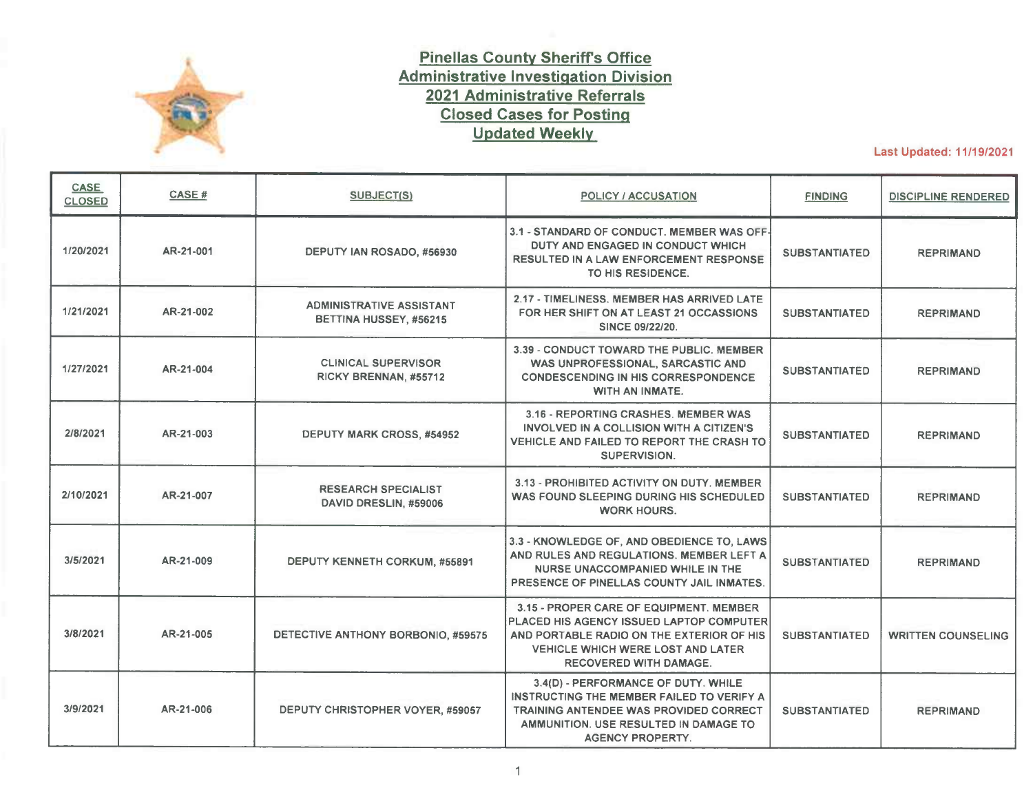| <b>CASE</b><br><b>CLOSED</b> | CASE #    | SUBJECT(S)                                                                                                                                                | <b>POLICY / ACCUSATION</b>                                                                                                                                                                                                                            | <b>FINDING</b>       | <b>DISCIPLINE RENDERED</b> |
|------------------------------|-----------|-----------------------------------------------------------------------------------------------------------------------------------------------------------|-------------------------------------------------------------------------------------------------------------------------------------------------------------------------------------------------------------------------------------------------------|----------------------|----------------------------|
| 7/12/2021                    | AR-21-034 | LIEUTENANT THOMAS MONTGOMERY, #54581<br>LIEUTENANT WILLIAM BYRD, #54118<br><b>SERGEANT CHAD MCINTYRE, #56081</b><br><b>SERGEANT LONNIE REDMON, #56592</b> | 3.31(F) - FAILURE TO PROPERLY SUPERVISE.<br><b>MEMBERS TOOK NO SUPERVISORY ACTION TO</b><br>TERMINATE AN UNAUTHORIZED PURSUIT.                                                                                                                        | <b>SUBSTANTIATED</b> | <b>REPRIMAND X4</b>        |
| 8/2/2021                     | AR-21-038 | <b>CORPORAL SCOTT COLLINS. #55688</b>                                                                                                                     | 3.4(D) - PERFORMANCE OF DUTY. MEMBER<br>ALLOWED A HANDCUFFED JUVENILE TO<br>TEMPORARILY ESCAPE FROM HIS CUSTODY.                                                                                                                                      | <b>SUBSTANTIATED</b> | <b>REPRIMAND</b>           |
| 8/9/2021                     | AR-21-037 | <b>INMATE RECORDS SPECIALIST III</b><br><b>KAREN KUNZ, #57593</b>                                                                                         | 3.4(D) - PERFORMANCE OF DUTY. MEMBER<br><b>FAILED TO TAKE ACTION ON A TELETYPE</b><br>RELEASING AN OUT OF STATE HOLD ON AN<br>INMATE. THE ERROR RESULTED IN A NINE AND A<br>HALF HOUR OVERSTAY.                                                       | <b>SUBSTANTIATED</b> | <b>REPRIMAND</b>           |
| 8/9/2021                     | AR-21-040 | <b>INMATE RECORDS SPECIALIST III</b><br>EDITH PATRICK, #58099                                                                                             | 3.4(D) - PERFORMANCE OF DUTY. MEMBER<br>INACCURATELY COMPLETED THE BOOKING<br><b>VERIFICATION PROCESS ON AN INMATE WHICH</b><br><b>RESULTED IN AN ERRONEOUS RELEASE.</b>                                                                              | <b>SUBSTANTIATED</b> | <b>WRITTEN COUNSELING</b>  |
| 8/9/2021                     | AR-21-045 | DEPUTY JACK SKIPPER, #59173                                                                                                                               | 3.3 - KNOWLEDGE OF, AND OBEDIENCE TO, LAWS<br>AND RULES AND REGULATIONS. MEMBER<br>ACCIDENTALLY DISCHARGED HIS ELECTRONIC<br><b>CONTROL WEAPON.</b>                                                                                                   | <b>SUBSTANTIATED</b> | <b>WRITTEN COUNSELING</b>  |
| 8/10/2021                    | AR-21-041 | <b>INMATE RECORDS SPECIALIST III</b><br><b>ANTOINETTE GUGLIOTA, #54151</b>                                                                                | 3.4(D) - PERFORMANCE OF DUTY. MEMBER<br>FAILED TO RECOGNIZE AN INMATE HAD AN<br>ACTIVE PROBABLE CAUSE AFFIDAVIT FOR THEIR<br>ARREST, WHICH RESULTED IN AN ERRONEOUS<br><b>RELEASE.</b>                                                                | <b>SUBSTANTIATED</b> | <b>REPRIMAND</b>           |
| 8/10/2021                    | AR-21-044 | <b>CLINICAL SUPERVISOR</b><br>VALERIE PHILLIPS, #58451                                                                                                    | 3.4(A) - PERFORMANCE OF DUTY. MEMBER<br>REFUSED TO ASSIST DETENTION AND<br><b>CORRECTIONS STAFF WITH THE BATHING OF AN</b><br>INMATE.                                                                                                                 | <b>SUBSTANTIATED</b> | <b>REPRIMAND</b>           |
| 8/12/2021                    | AR-21-042 | SERGEANT JOHN WAUGH, #55220                                                                                                                               | 3.4(D) - PERFORMANCE OF DUTY. MEMBER<br><b>IMPROPERLY DIRECTED A SUBORDINATE TO</b><br><b>REFER CRIMINAL CHARGES TO THE STATE</b><br>ATTORNEY'S OFFICE IN LIEU OF A PHYSICAL<br>ARREST, AFTER PROBABLE CAUSE HAD BEEN<br>DEVELOPED FOR CHILD NEGLECT. | <b>SUBSTANTIATED</b> | <b>REPRIMAND</b>           |
| 8/27/2021                    | AR-21-047 | DEPUTY LEVI BLAKE, #59881                                                                                                                                 | 3.4(D) - PERFORMANCE OF DUTY. MEMBER<br>FAILED TO APPEAR FOR A VIDEO DEPOSITION<br>FOR WHICH HE WAS SUBPOENAED TO ATTEND.<br><b>ADDITIONALLY, MEMBER AUTHORED SIX</b><br><b>REPORTS WHICH CONTAINED CRITICAL ERRORS.</b>                              | <b>SUBSTANTIATED</b> | <b>WRITTEN COUNSELING</b>  |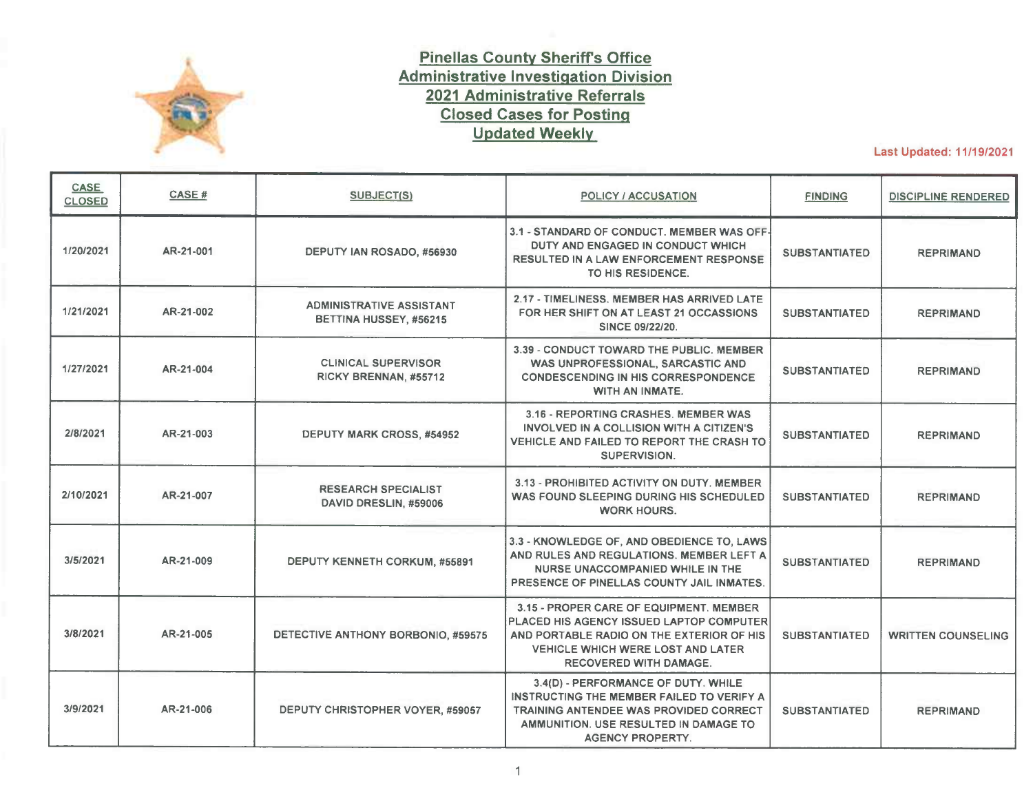| <b>CASE</b><br><b>CLOSED</b> | CASE#     | SUBJECT(S)                                                                 | POLICY / ACCUSATION                                                                                                                                                                                                                 | <b>FINDING</b>       | <b>DISCIPLINE RENDERED</b> |
|------------------------------|-----------|----------------------------------------------------------------------------|-------------------------------------------------------------------------------------------------------------------------------------------------------------------------------------------------------------------------------------|----------------------|----------------------------|
| 8/27/2021                    | AR-21-043 | <b>LIEUTENANT RYAN BUCKLEY, #54125</b>                                     | 3.4(D) - PERFORMANCE OF DUTY. MEMBER<br><b>FAILED TO ADEQUATELY STAFF HIS SHIFT.</b><br>DURING A HOLIDAY WEEKEND.                                                                                                                   | <b>SUBSTANTIATED</b> | <b>REPRIMAND</b>           |
| 9/10/2021                    | AR-21-039 | SERGEANT AARON BELCHER, #57109                                             | 3.15 - PROPER CARE OF EQUIPMENT. MEMBER'S<br>AGENCY CREDENTIALS WERE EITHER LOST OR<br>STOLEN.                                                                                                                                      | <b>SUBSTANTIATED</b> | <b>WRITTEN COUNSELING</b>  |
| 9/13/2021                    | AR-21-048 | <b>FORENSIC SCIENCE SPECIALIST</b><br>LINDA SCIRE, #52760                  | 3.19 - CARE, CUSTODY, AND CONTROL OF<br>PROPERTY / EVIDENCE. MEMBER LOST AN ITEM<br>OF EVIDENCE WHICH WAS PART OF A CRIMINAL<br><b>INVESTIGATION.</b>                                                                               | <b>SUBSTANTIATED</b> | <b>WRITTEN COUNSELING</b>  |
| 10/4/2021                    | AR-21-049 | DEPUTY JASON ELLIS, #57430                                                 | 3.4(D) - PERFORMANCE OF DUTY. MEMBER<br><b>FAILED TO USE APPROPRIATE OFFICER SAFETY</b><br><b>TACTICS WHEN DEALING WITH AN AGGRESSIVE</b><br>AND UNCOOPERATIVE SUSPECT.                                                             | <b>SUBSTANTIATED</b> | <b>WRITTEN COUNSELING</b>  |
| 10/4/2021                    | AR-21-050 | DEPUTY JONATHAN JOYNER, #56971                                             | 3.32 - ABUSE OF SICK TIME. MEMBER CALLED<br>OUT SICK AFTER A REQUEST TO UTILIZE<br><b>VACATION TIME WAS DENIED.</b>                                                                                                                 | <b>SUBSTANTIATED</b> | <b>REPRIMAND</b>           |
| 10/19/2021                   | AR-21-053 | <b>INMATE RECORDS SPECIALIST III</b><br><b>MARLIN RIVERA-PEREZ, #59262</b> | 3.32 - ABUSE OF SICK TIME. MEMBER CALLED<br>OUT SICK AND LATER ADMITTED HER ABSENCE<br>WAS NOT DUE TO AN ILLNESS.                                                                                                                   | <b>SUBSTANTIATED</b> | <b>REPRIMAND</b>           |
| 10/21/2021                   | AR-21-052 | DEPUTY KEVIN PHILLIPS, #55835                                              | 3.4(D) - PERFORMANCE OF DUTY. WHILE<br><b>WORKING IN THE PINELLAS COUNTY JAIL.</b><br>MEMBER LEFT AN ACCESS CONTROL PANEL<br>DOOR OPEN AND UNATTENDED WITH THE KEY<br>INSERTED, WHILE INMATE WORKERS WERE<br>PRESENT AND UNSECURED. | <b>SUBSTANTIATED</b> | <b>REPRIMAND</b>           |